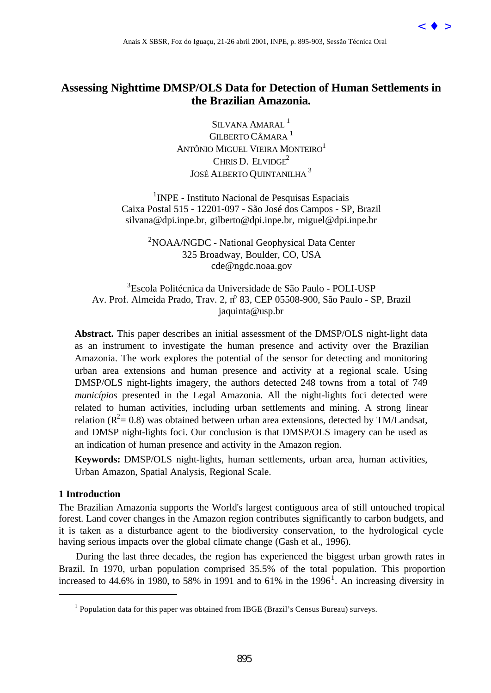

# **Assessing Nighttime DMSP/OLS Data for Detection of Human Settlements in the Brazilian Amazonia.**

SILVANA AMARAL<sup>1</sup> GILBERTO CÂMARA<sup>1</sup> ANTÔNIO MIGUEL VIEIRA MONTEIRO<sup>1</sup> CHRIS D. ELVIDGE $2$ JOSÉ ALBERTO QUINTANILHA 3

<sup>1</sup>INPE - Instituto Nacional de Pesquisas Espaciais Caixa Postal 515 - 12201-097 - São José dos Campos - SP, Brazil silvana@dpi.inpe.br, gilberto@dpi.inpe.br, miguel@dpi.inpe.br

<sup>2</sup>NOAA/NGDC - National Geophysical Data Center 325 Broadway, Boulder, CO, USA cde@ngdc.noaa.gov

3 Escola Politécnica da Universidade de São Paulo - POLI-USP Av. Prof. Almeida Prado, Trav. 2, nº 83, CEP 05508-900, São Paulo - SP, Brazil jaquinta@usp.br

**Abstract.** This paper describes an initial assessment of the DMSP/OLS night-light data as an instrument to investigate the human presence and activity over the Brazilian Amazonia. The work explores the potential of the sensor for detecting and monitoring urban area extensions and human presence and activity at a regional scale. Using DMSP/OLS night-lights imagery, the authors detected 248 towns from a total of 749 *municípios* presented in the Legal Amazonia. All the night-lights foci detected were related to human activities, including urban settlements and mining. A strong linear relation ( $R^2$  = 0.8) was obtained between urban area extensions, detected by TM/Landsat, and DMSP night-lights foci. Our conclusion is that DMSP/OLS imagery can be used as an indication of human presence and activity in the Amazon region. ANHA SISIR, For do Iguaçu, 21-26 abril 2001, INPE, p. 895-903, Sessão Técnica Oral (Stiftmer DMSP/OLS Data for Detection of Human Settlements in the Brazilian Amazonia.<br[>](goto-/dpi.inpe.br/lise/2001/09.19.12.38)SUAVANA ANAISANAL<sup>1</sup><br>
ANTONIS AMAISANAL<sup>1</sup><br>
ANTONIS

**Keywords:** DMSP/OLS night-lights, human settlements, urban area, human activities, Urban Amazon, Spatial Analysis, Regional Scale.

### **1 Introduction**

l

The Brazilian Amazonia supports the World's largest contiguous area of still untouched tropical forest. Land cover changes in the Amazon region contributes significantly to carbon budgets, and it is taken as a disturbance agent to the biodiversity conservation, to the hydrological cycle having serious impacts over the global climate change (Gash et al., 1996).

During the last three decades, the region has experienced the biggest urban growth rates in Brazil. In 1970, urban population comprised 35.5% of the total population. This proportion increased to 44.6% in 1980, to 58% in 1991 and to 61% in the 1996<sup>1</sup>. An increasing diversity in

 $<sup>1</sup>$  Population data for this paper was obtained from IBGE (Brazil's Census Bureau) surveys.</sup>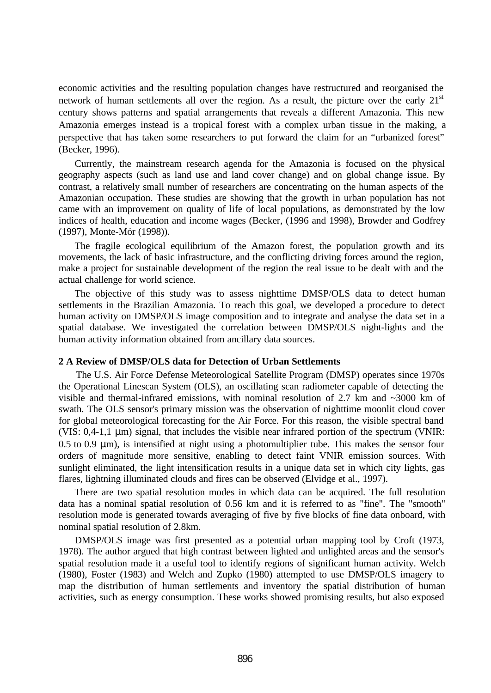economic activities and the resulting population changes have restructured and reorganised the network of human settlements all over the region. As a result, the picture over the early  $21<sup>st</sup>$ century shows patterns and spatial arrangements that reveals a different Amazonia. This new Amazonia emerges instead is a tropical forest with a complex urban tissue in the making, a perspective that has taken some researchers to put forward the claim for an "urbanized forest" (Becker, 1996).

Currently, the mainstream research agenda for the Amazonia is focused on the physical geography aspects (such as land use and land cover change) and on global change issue. By contrast, a relatively small number of researchers are concentrating on the human aspects of the Amazonian occupation. These studies are showing that the growth in urban population has not came with an improvement on quality of life of local populations, as demonstrated by the low indices of health, education and income wages (Becker, (1996 and 1998), Browder and Godfrey (1997), Monte-Mór (1998)).

The fragile ecological equilibrium of the Amazon forest, the population growth and its movements, the lack of basic infrastructure, and the conflicting driving forces around the region, make a project for sustainable development of the region the real issue to be dealt with and the actual challenge for world science.

The objective of this study was to assess nighttime DMSP/OLS data to detect human settlements in the Brazilian Amazonia. To reach this goal, we developed a procedure to detect human activity on DMSP/OLS image composition and to integrate and analyse the data set in a spatial database. We investigated the correlation between DMSP/OLS night-lights and the human activity information obtained from ancillary data sources.

#### **2 A Review of DMSP/OLS data for Detection of Urban Settlements**

The U.S. Air Force Defense Meteorological Satellite Program (DMSP) operates since 1970s the Operational Linescan System (OLS), an oscillating scan radiometer capable of detecting the visible and thermal-infrared emissions, with nominal resolution of 2.7 km and ~3000 km of swath. The OLS sensor's primary mission was the observation of nighttime moonlit cloud cover for global meteorological forecasting for the Air Force. For this reason, the visible spectral band (VIS: 0,4-1,1 μm) signal, that includes the visible near infrared portion of the spectrum (VNIR: 0.5 to 0.9 μm), is intensified at night using a photomultiplier tube. This makes the sensor four orders of magnitude more sensitive, enabling to detect faint VNIR emission sources. With sunlight eliminated, the light intensification results in a unique data set in which city lights, gas flares, lightning illuminated clouds and fires can be observed (Elvidge et al., 1997).

There are two spatial resolution modes in which data can be acquired. The full resolution data has a nominal spatial resolution of 0.56 km and it is referred to as "fine". The "smooth" resolution mode is generated towards averaging of five by five blocks of fine data onboard, with nominal spatial resolution of 2.8km.

DMSP/OLS image was first presented as a potential urban mapping tool by Croft (1973, 1978). The author argued that high contrast between lighted and unlighted areas and the sensor's spatial resolution made it a useful tool to identify regions of significant human activity. Welch (1980), Foster (1983) and Welch and Zupko (1980) attempted to use DMSP/OLS imagery to map the distribution of human settlements and inventory the spatial distribution of human activities, such as energy consumption. These works showed promising results, but also exposed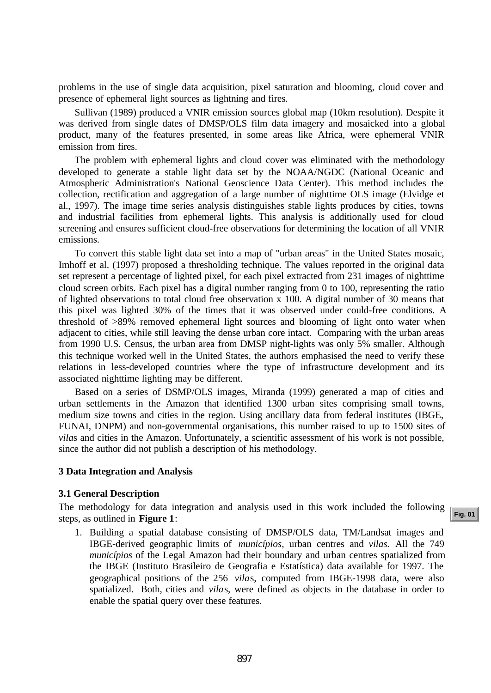problems in the use of single data acquisition, pixel saturation and blooming, cloud cover and presence of ephemeral light sources as lightning and fires.

Sullivan (1989) produced a VNIR emission sources global map (10km resolution). Despite it was derived from single dates of DMSP/OLS film data imagery and mosaicked into a global product, many of the features presented, in some areas like Africa, were ephemeral VNIR emission from fires.

The problem with ephemeral lights and cloud cover was eliminated with the methodology developed to generate a stable light data set by the NOAA/NGDC (National Oceanic and Atmospheric Administration's National Geoscience Data Center). This method includes the collection, rectification and aggregation of a large number of nighttime OLS image (Elvidge et al., 1997). The image time series analysis distinguishes stable lights produces by cities, towns and industrial facilities from ephemeral lights. This analysis is additionally used for cloud screening and ensures sufficient cloud-free observations for determining the location of all VNIR emissions.

To convert this stable light data set into a map of "urban areas" in the United States mosaic, Imhoff et al. (1997) proposed a thresholding technique. The values reported in the original data set represent a percentage of lighted pixel, for each pixel extracted from 231 images of nighttime cloud screen orbits. Each pixel has a digital number ranging from 0 to 100, representing the ratio of lighted observations to total cloud free observation x 100. A digital number of 30 means that this pixel was lighted 30% of the times that it was observed under could-free conditions. A threshold of >89% removed ephemeral light sources and blooming of light onto water when adjacent to cities, while still leaving the dense urban core intact. Comparing with the urban areas from 1990 U.S. Census, the urban area from DMSP night-lights was only 5% smaller. Although this technique worked well in the United States, the authors emphasised the need to verify these relations in less-developed countries where the type of infrastructure development and its associated nighttime lighting may be different.

Based on a series of DSMP/OLS images, Miranda (1999) generated a map of cities and urban settlements in the Amazon that identified 1300 urban sites comprising small towns, medium size towns and cities in the region. Using ancillary data from federal institutes (IBGE, FUNAI, DNPM) and non-governmental organisations, this number raised to up to 1500 sites of *vila*s and cities in the Amazon. Unfortunately, a scientific assessment of his work is not possible, since the author did not publish a description of his methodology.

#### **3 Data Integration and Analysis**

#### **3.1 General Description**

The methodology for data integration and analysis used in this work included the following steps, as outlined in **Figure 1**:

1. Building a spatial database consisting of DMSP/OLS data, TM/Landsat images and IBGE-derived geographic limits of *municípios*, urban centres and *vilas.* All the 749 *municípios* of the Legal Amazon had their boundary and urban centres spatialized from the IBGE (Instituto Brasileiro de Geografia e Estatística) data available for 1997. The geographical positions of the 256 *vila*s, computed from IBGE-1998 data, were also spatialized. Both, cities and *vila*s, were defined as objects in the database in order to enable the spatial query over these features.

**[Fig. 01](#page-3-0)**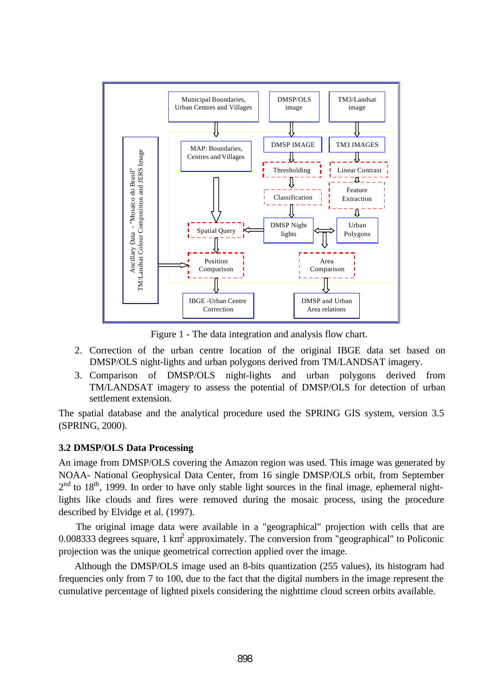<span id="page-3-0"></span>

Figure 1 - The data integration and analysis flow chart.

- 2. Correction of the urban centre location of the original IBGE data set based on DMSP/OLS night-lights and urban polygons derived from TM/LANDSAT imagery.
- 3. Comparison of DMSP/OLS night-lights and urban polygons derived from TM/LANDSAT imagery to assess the potential of DMSP/OLS for detection of urban settlement extension.

The spatial database and the analytical procedure used the SPRING GIS system, version 3.5 (SPRING, 2000).

## **3.2 DMSP/OLS Data Processing**

An image from DMSP/OLS covering the Amazon region was used. This image was generated by NOAA- National Geophysical Data Center, from 16 single DMSP/OLS orbit, from September  $2<sup>nd</sup>$  to 18<sup>th</sup>, 1999. In order to have only stable light sources in the final image, ephemeral nightlights like clouds and fires were removed during the mosaic process, using the procedure described by Elvidge et al. (1997).

The original image data were available in a "geographical" projection with cells that are 0.008333 degrees square, 1 km<sup>2</sup> approximately. The conversion from "geographical" to Policonic projection was the unique geometrical correction applied over the image.

Although the DMSP/OLS image used an 8-bits quantization (255 values), its histogram had frequencies only from 7 to 100, due to the fact that the digital numbers in the image represent the cumulative percentage of lighted pixels considering the nighttime cloud screen orbits available.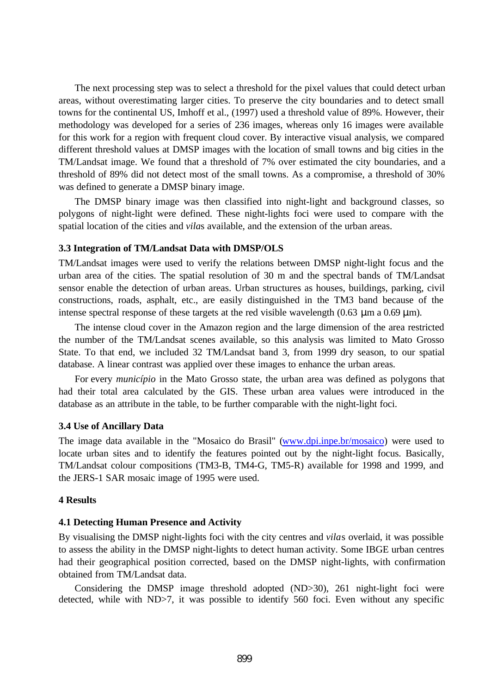The next processing step was to select a threshold for the pixel values that could detect urban areas, without overestimating larger cities. To preserve the city boundaries and to detect small towns for the continental US, Imhoff et al., (1997) used a threshold value of 89%. However, their methodology was developed for a series of 236 images, whereas only 16 images were available for this work for a region with frequent cloud cover. By interactive visual analysis, we compared different threshold values at DMSP images with the location of small towns and big cities in the TM/Landsat image. We found that a threshold of 7% over estimated the city boundaries, and a threshold of 89% did not detect most of the small towns. As a compromise, a threshold of 30% was defined to generate a DMSP binary image.

The DMSP binary image was then classified into night-light and background classes, so polygons of night-light were defined. These night-lights foci were used to compare with the spatial location of the cities and *vila*s available, and the extension of the urban areas.

### **3.3 Integration of TM/Landsat Data with DMSP/OLS**

TM/Landsat images were used to verify the relations between DMSP night-light focus and the urban area of the cities. The spatial resolution of 30 m and the spectral bands of TM/Landsat sensor enable the detection of urban areas. Urban structures as houses, buildings, parking, civil constructions, roads, asphalt, etc., are easily distinguished in the TM3 band because of the intense spectral response of these targets at the red visible wavelength  $(0.63 \mu m a 0.69 \mu m)$ .

The intense cloud cover in the Amazon region and the large dimension of the area restricted the number of the TM/Landsat scenes available, so this analysis was limited to Mato Grosso State. To that end, we included 32 TM/Landsat band 3, from 1999 dry season, to our spatial database. A linear contrast was applied over these images to enhance the urban areas.

For every *município* in the Mato Grosso state, the urban area was defined as polygons that had their total area calculated by the GIS. These urban area values were introduced in the database as an attribute in the table, to be further comparable with the night-light foci.

## **3.4 Use of Ancillary Data**

The image data available in the "Mosaico do Brasil" [\(www.dpi.inpe.br/mosaico\)](www.dpi.inpe.br/mosaico) were used to locate urban sites and to identify the features pointed out by the night-light focus. Basically, TM/Landsat colour compositions (TM3-B, TM4-G, TM5-R) available for 1998 and 1999, and the JERS-1 SAR mosaic image of 1995 were used.

## **4 Results**

## **4.1 Detecting Human Presence and Activity**

By visualising the DMSP night-lights foci with the city centres and *vila*s overlaid, it was possible to assess the ability in the DMSP night-lights to detect human activity. Some IBGE urban centres had their geographical position corrected, based on the DMSP night-lights, with confirmation obtained from TM/Landsat data.

Considering the DMSP image threshold adopted (ND>30), 261 night-light foci were detected, while with ND>7, it was possible to identify 560 foci. Even without any specific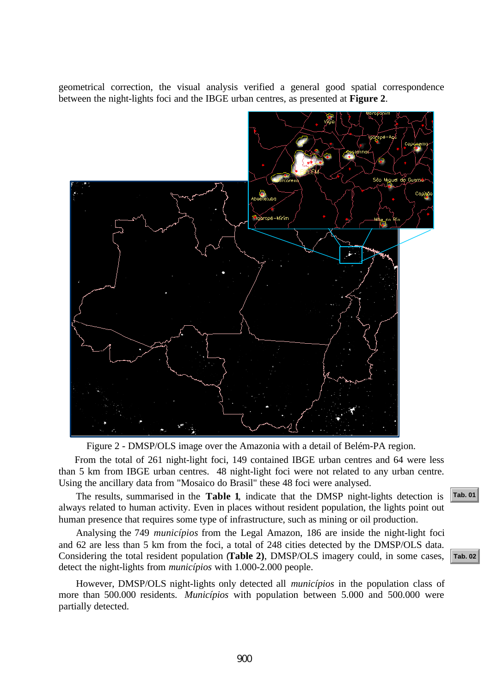geometrical correction, the visual analysis verified a general good spatial correspondence between the night-lights foci and the IBGE urban centres, as presented at **Figure 2**.



Figure 2 - DMSP/OLS image over the Amazonia with a detail of Belém-PA region.

From the total of 261 night-light foci, 149 contained IBGE urban centres and 64 were less than 5 km from IBGE urban centres. 48 night-light foci were not related to any urban centre. Using the ancillary data from "Mosaico do Brasil" these 48 foci were analysed.

The results, summarised in the **Table 1**, indicate that the DMSP night-lights detection is always related to human activity. Even in places without resident population, the lights point out human presence that requires some type of infrastructure, such as mining or oil production.

Analysing the 749 *municípios* from the Legal Amazon, 186 are inside the night-light foci and 62 are less than 5 km from the foci, a total of 248 cities detected by the DMSP/OLS data. Considering the total resident population (**Table 2)**, DMSP/OLS imagery could, in some cases, detect the night-lights from *municípios* with 1.000-2.000 people.

However, DMSP/OLS night-lights only detected all *municípios* in the population class of more than 500.000 residents. *Municípios* with population between 5.000 and 500.000 were partially detected.



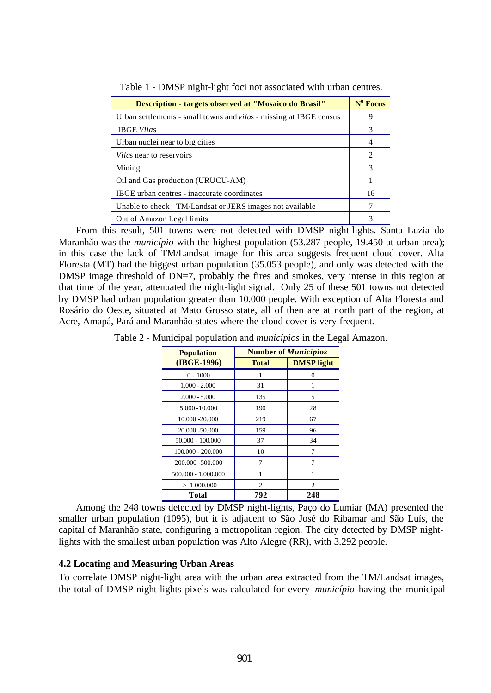| Description - targets observed at "Mosaico do Brasil"                     |   |
|---------------------------------------------------------------------------|---|
| Urban settlements - small towns and <i>vilas</i> - missing at IBGE census | 9 |
| <b>IBGE Vilas</b>                                                         |   |
| Urban nuclei near to big cities                                           |   |
| <i>Vilas</i> near to reservoirs                                           |   |
| Mining                                                                    |   |
| Oil and Gas production (URUCU-AM)                                         |   |
| IBGE urban centres - inaccurate coordinates                               |   |
| Unable to check - TM/Landsat or JERS images not available                 |   |
| Out of Amazon Legal limits                                                |   |

<span id="page-6-0"></span>Table 1 - DMSP night-light foci not associated with urban centres.

From this result, 501 towns were not detected with DMSP night-lights. Santa Luzia do Maranhão was the *município* with the highest population (53.287 people, 19.450 at urban area); in this case the lack of TM/Landsat image for this area suggests frequent cloud cover. Alta Floresta (MT) had the biggest urban population (35.053 people), and only was detected with the DMSP image threshold of DN=7, probably the fires and smokes, very intense in this region at that time of the year, attenuated the night-light signal. Only 25 of these 501 towns not detected by DMSP had urban population greater than 10.000 people. With exception of Alta Floresta and Rosário do Oeste, situated at Mato Grosso state, all of then are at north part of the region, at Acre, Amapá, Pará and Maranhão states where the cloud cover is very frequent.

| <b>Population</b>   | <b>Number of <i>Municípios</i></b> |                   |
|---------------------|------------------------------------|-------------------|
| (IBGE-1996)         | <b>Total</b>                       | <b>DMSP</b> light |
| $0 - 1000$          |                                    | 0                 |
| $1.000 - 2.000$     | 31                                 |                   |
| $2.000 - 5.000$     | 135                                | 5                 |
| 5.000 - 10.000      | 190                                | 28                |
| 10.000 -20.000      | 219                                | 67                |
| 20.000 -50.000      | 159                                | 96                |
| $50.000 - 100.000$  | 37                                 | 34                |
| 100.000 - 200.000   | 10                                 |                   |
| 200.000 -500.000    | 7                                  | 7                 |
| 500.000 - 1.000.000 |                                    |                   |
| >1.000.000          | 2                                  | 2                 |
| <b>Total</b>        | 792                                | 248               |

Table 2 - Municipal population and *municípios* in the Legal Amazon.

Among the 248 towns detected by DMSP night-lights, Paço do Lumiar (MA) presented the smaller urban population (1095), but it is adjacent to São José do Ribamar and São Luís, the capital of Maranhão state, configuring a metropolitan region. The city detected by DMSP nightlights with the smallest urban population was Alto Alegre (RR), with 3.292 people.

### **4.2 Locating and Measuring Urban Areas**

To correlate DMSP night-light area with the urban area extracted from the TM/Landsat images, the total of DMSP night-lights pixels was calculated for every *município* having the municipal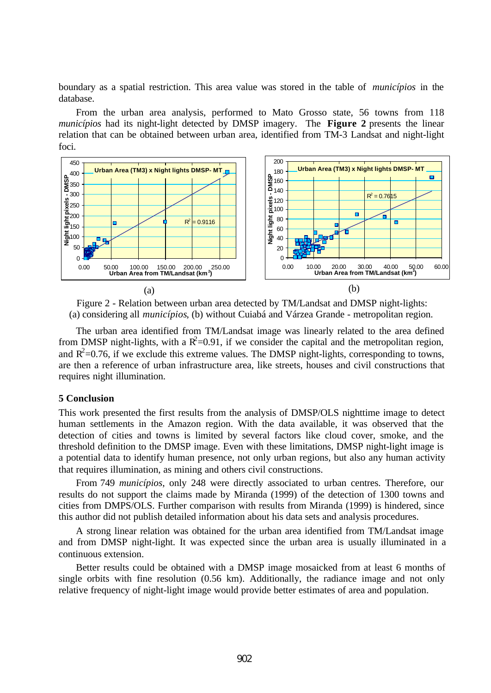boundary as a spatial restriction. This area value was stored in the table of *municípios* in the database.

From the urban area analysis, performed to Mato Grosso state, 56 towns from 118 *municípios* had its night-light detected by DMSP imagery. The **Figure 2** presents the linear relation that can be obtained between urban area, identified from TM-3 Landsat and night-light foci.



Figure 2 - Relation between urban area detected by TM/Landsat and DMSP night-lights: (a) considering all *municípios*, (b) without Cuiabá and Várzea Grande - metropolitan region.

The urban area identified from TM/Landsat image was linearly related to the area defined from DMSP night-lights, with a  $\mathbb{R}^2$ =0.91, if we consider the capital and the metropolitan region, and  $R^2$ =0.76, if we exclude this extreme values. The DMSP night-lights, corresponding to towns, are then a reference of urban infrastructure area, like streets, houses and civil constructions that requires night illumination.

#### **5 Conclusion**

This work presented the first results from the analysis of DMSP/OLS nighttime image to detect human settlements in the Amazon region. With the data available, it was observed that the detection of cities and towns is limited by several factors like cloud cover, smoke, and the threshold definition to the DMSP image. Even with these limitations, DMSP night-light image is a potential data to identify human presence, not only urban regions, but also any human activity that requires illumination, as mining and others civil constructions.

From 749 *municípios*, only 248 were directly associated to urban centres. Therefore, our results do not support the claims made by Miranda (1999) of the detection of 1300 towns and cities from DMPS/OLS. Further comparison with results from Miranda (1999) is hindered, since this author did not publish detailed information about his data sets and analysis procedures.

A strong linear relation was obtained for the urban area identified from TM/Landsat image and from DMSP night-light. It was expected since the urban area is usually illuminated in a continuous extension.

Better results could be obtained with a DMSP image mosaicked from at least 6 months of single orbits with fine resolution (0.56 km). Additionally, the radiance image and not only relative frequency of night-light image would provide better estimates of area and population.